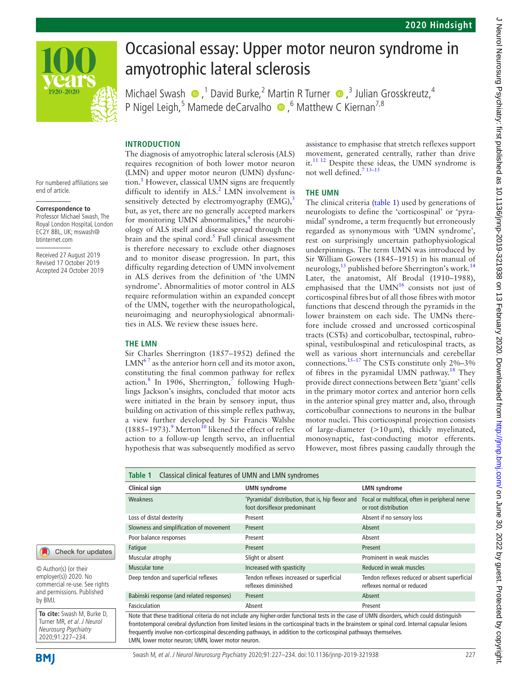

 $920 - 2020$ 

# Occasional essay: Upper motor neuron syndrome in amyotrophic lateral sclerosis

MichaelSwash  $\bullet$ ,<sup>1</sup> David Burke,<sup>2</sup> Martin R Turner  $\bullet$ ,<sup>3</sup> Julian Grosskreutz,<sup>4</sup> P Nigel Leigh,<sup>5</sup> Mamede deCarvalho <sup>®</sup>,<sup>6</sup> Matthew C Kiernan<sup>7,8</sup>

## **Introduction**

The diagnosis of amyotrophic lateral sclerosis (ALS) requires recognition of both lower motor neuron (LMN) and upper motor neuron (UMN) dysfunc-tion.<sup>[1](#page-5-0)</sup> However, classical UMN signs are frequently difficult to identify in ALS.<sup>2</sup> LMN involvement is sensitively detected by electromyography  $(EMG)$ ,<sup>[3](#page-5-2)</sup> but, as yet, there are no generally accepted markers for monitoring UMN abnormalities,<sup>4</sup> the neurobiology of ALS itself and disease spread through the brain and the spinal cord.<sup>5</sup> Full clinical assessment is therefore necessary to exclude other diagnoses and to monitor disease progression. In part, this difficulty regarding detection of UMN involvement in ALS derives from the definition of 'the UMN syndrome'. Abnormalities of motor control in ALS require reformulation within an expanded concept of the UMN, together with the neuropathological, neuroimaging and neurophysiological abnormalities in ALS. We review these issues here.

#### **The LMN**

Sir Charles Sherrington (1857–1952) defined the  $LMN<sup>67</sup>$  as the anterior horn cell and its motor axon, constituting the final common pathway for reflex action.<sup>[8](#page-5-6)</sup> In 1906, Sherrington,<sup>7</sup> following Hughlings Jackson's insights, concluded that motor acts were initiated in the brain by sensory input, thus building on activation of this simple reflex pathway, a view further developed by Sir Francis Walshe  $(1885-1973)$  $(1885-1973)$  $(1885-1973)$ .<sup>9</sup> Merton<sup>[10](#page-5-9)</sup> likened the effect of reflex action to a follow-up length servo, an influential hypothesis that was subsequently modified as servo

assistance to emphasise that stretch reflexes support movement, generated centrally, rather than drive it.<sup>[11 12](#page-5-10)</sup> Despite these ideas, the UMN syndrome is not well defined.<sup>7</sup> <sup>13-15</sup>

#### **The UMN**

The clinical criteria ([table](#page-0-0) 1) used by generations of neurologists to define the 'corticospinal' or 'pyramidal' syndrome, a term frequently but erroneously regarded as synonymous with 'UMN syndrome', rest on surprisingly uncertain pathophysiological underpinnings. The term UMN was introduced by Sir William Gowers (1845–1915) in his manual of neurology,<sup>13</sup> published before Sherrington's work.<sup>[14](#page-5-12)</sup> Later, the anatomist, Alf Brodal (1910–1988), emphasised that the UMN $^{16}$  $^{16}$  $^{16}$  consists not just of corticospinal fibres but of all those fibres with motor functions that descend through the pyramids in the lower brainstem on each side. The UMNs therefore include crossed and uncrossed corticospinal tracts (CSTs) and corticobulbar, tectospinal, rubrospinal, vestibulospinal and reticulospinal tracts, as well as various short internuncials and cerebellar connections.[15–17](#page-5-14) The CSTs constitute only 2%–3% of fibres in the pyramidal UMN pathway.<sup>18</sup> They provide direct connections between Betz 'giant' cells in the primary motor cortex and anterior horn cells in the anterior spinal grey matter and, also, through corticobulbar connections to neurons in the bulbar motor nuclei. This corticospinal projection consists of large-diameter  $(>10 \,\mu m)$ , thickly myelinated, monosynaptic, fast-conducting motor efferents. However, most fibres passing caudally through the

<span id="page-0-0"></span>

| Classical clinical features of UMN and LMN syndromes<br>Table 1 |                                                                                   |                                                                             |
|-----------------------------------------------------------------|-----------------------------------------------------------------------------------|-----------------------------------------------------------------------------|
| Clinical sign                                                   | <b>UMN</b> syndrome                                                               | <b>LMN</b> syndrome                                                         |
| Weakness                                                        | 'Pyramidal' distribution, that is, hip flexor and<br>foot dorsiflexor predominant | Focal or multifocal, often in peripheral nerve<br>or root distribution      |
| Loss of distal dexterity                                        | Present                                                                           | Absent if no sensory loss                                                   |
| Slowness and simplification of movement                         | Present                                                                           | Ahsent                                                                      |
| Poor balance responses                                          | Present                                                                           | Absent                                                                      |
| Fatique                                                         | Present                                                                           | Present                                                                     |
| Muscular atrophy                                                | Slight or absent                                                                  | Prominent in weak muscles                                                   |
| Muscular tone                                                   | Increased with spasticity                                                         | Reduced in weak muscles                                                     |
| Deep tendon and superficial reflexes                            | Tendon reflexes increased or superficial<br>reflexes diminished                   | Tendon reflexes reduced or absent superficial<br>reflexes normal or reduced |
| Babinski response (and related responses)                       | Present                                                                           | Absent                                                                      |
| Fasciculation                                                   | Absent                                                                            | Present                                                                     |

Note that these traditional criteria do not include any higher-order functional tests in the case of UMN disorders, which could distinguish frontotemporal cerebral dysfunction from limited lesions in the corticospinal tracts in the brainstem or spinal cord. Internal capsular lesions frequently involve non-corticospinal descending pathways, in addition to the corticospinal pathways themselves. LMN, lower motor neuron; UMN, lower motor neuron.

For numbered affiliations see end of article.

#### **Correspondence to**

Professor Michael Swash, The Royal London Hospital, London EC2Y 8BL, UK; mswash@ btinternet.com

Received 27 August 2019 Revised 17 October 2019 Accepted 24 October 2019



© Author(s) (or their employer(s)) 2020. No commercial re-use. See rights and permissions. Published by BMJ.

**To cite:** Swash M, Burke D, Turner MR, et al. J Neurol Neurosurg Psychiatry 2020;91:227–234.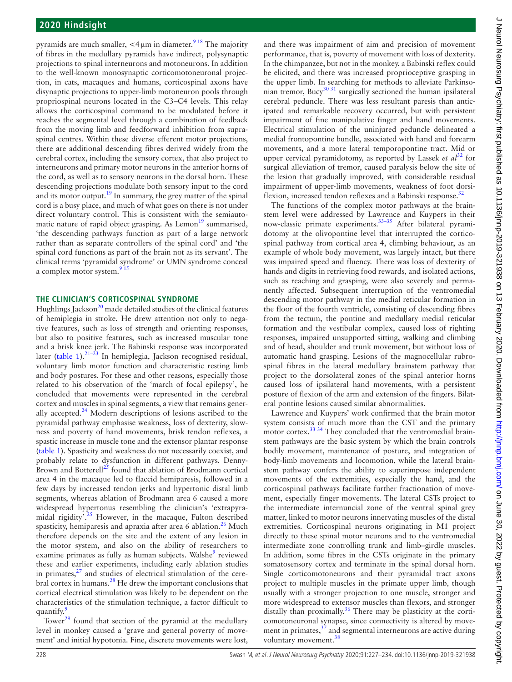pyramids are much smaller,  $\lt 4 \mu m$  in diameter.<sup>[9 18](#page-5-8)</sup> The majority of fibres in the medullary pyramids have indirect, polysynaptic projections to spinal interneurons and motoneurons. In addition to the well-known monosynaptic corticomotoneuronal projection, in cats, macaques and humans, corticospinal axons have disynaptic projections to upper-limb motoneuron pools through propriospinal neurons located in the C3–C4 levels. This relay allows the corticospinal command to be modulated before it reaches the segmental level through a combination of feedback from the moving limb and feedforward inhibition from supraspinal centres. Within these diverse efferent motor projections, there are additional descending fibres derived widely from the cerebral cortex, including the sensory cortex, that also project to interneurons and primary motor neurons in the anterior horns of the cord, as well as to sensory neurons in the dorsal horn. These descending projections modulate both sensory input to the cord and its motor output.<sup>[19](#page-5-16)</sup> In summary, the grey matter of the spinal cord is a busy place, and much of what goes on there is not under direct voluntary control. This is consistent with the semiautomatic nature of rapid object grasping. As  $Lemon<sup>19</sup>$  $Lemon<sup>19</sup>$  $Lemon<sup>19</sup>$  summarised, 'the descending pathways function as part of a large network rather than as separate controllers of the spinal cord' and 'the spinal cord functions as part of the brain not as its servant'. The clinical terms 'pyramidal syndrome' or UMN syndrome conceal a complex motor system. $915$ 

### **The clinician's corticospinal syndrome**

Hughlings Jackson<sup>20</sup> made detailed studies of the clinical features of hemiplegia in stroke. He drew attention not only to negative features, such as loss of strength and orienting responses, but also to positive features, such as increased muscular tone and a brisk knee jerk. The Babinski response was incorporated later ([table](#page-0-0) 1). $21-23$  In hemiplegia, Jackson recognised residual, voluntary limb motor function and characteristic resting limb and body postures. For these and other reasons, especially those related to his observation of the 'march of focal epilepsy', he concluded that movements were represented in the cerebral cortex and muscles in spinal segments, a view that remains generally accepted. $24$  Modern descriptions of lesions ascribed to the pyramidal pathway emphasise weakness, loss of dexterity, slowness and poverty of hand movements, brisk tendon reflexes, a spastic increase in muscle tone and the extensor plantar response ([table](#page-0-0) 1). Spasticity and weakness do not necessarily coexist, and probably relate to dysfunction in different pathways. Denny-Brown and Botterell<sup>25</sup> found that ablation of Brodmann cortical area 4 in the macaque led to flaccid hemiparesis, followed in a few days by increased tendon jerks and hypertonic distal limb segments, whereas ablation of Brodmann area 6 caused a more widespread hypertonus resembling the clinician's 'extrapyramidal rigidity<sup>725</sup> However, in the macaque, Fulton described spasticity, hemiparesis and apraxia after area 6 ablation.<sup>[26](#page-5-21)</sup> Much therefore depends on the site and the extent of any lesion in the motor system, and also on the ability of researchers to examine primates as fully as human subjects. Walshe<sup>[9](#page-5-8)</sup> reviewed these and earlier experiments, including early ablation studies in primates, $27$  and studies of electrical stimulation of the cere-bral cortex in humans.<sup>[28](#page-5-23)</sup> He drew the important conclusions that cortical electrical stimulation was likely to be dependent on the characteristics of the stimulation technique, a factor difficult to quantify.<sup>9</sup>

Tower $^{29}$  found that section of the pyramid at the medullary level in monkey caused a 'grave and general poverty of movement' and initial hypotonia. Fine, discrete movements were lost,

and there was impairment of aim and precision of movement performance, that is, poverty of movement with loss of dexterity. In the chimpanzee, but not in the monkey, a Babinski reflex could be elicited, and there was increased proprioceptive grasping in the upper limb. In searching for methods to alleviate Parkinsonian tremor, Bucy<sup>30 31</sup> surgically sectioned the human ipsilateral cerebral peduncle. There was less resultant paresis than anticipated and remarkable recovery occurred, but with persistent impairment of fine manipulative finger and hand movements. Electrical stimulation of the uninjured peduncle delineated a medial frontopontine bundle, associated with hand and forearm movements, and a more lateral temporopontine tract. Mid or upper cervical pyramidotomy, as reported by Lassek *et al*<sup>32</sup> for surgical alleviation of tremor, caused paralysis below the site of the lesion that gradually improved, with considerable residual impairment of upper-limb movements, weakness of foot dorsiflexion, increased tendon reflexes and a Babinski response.<sup>32</sup>

The functions of the complex motor pathways at the brainstem level were addressed by Lawrence and Kuypers in their now-classic primate experiments.[33–35](#page-5-27) After bilateral pyramidotomy at the olivopontine level that interrupted the corticospinal pathway from cortical area 4, climbing behaviour, as an example of whole body movement, was largely intact, but there was impaired speed and fluency. There was loss of dexterity of hands and digits in retrieving food rewards, and isolated actions, such as reaching and grasping, were also severely and permanently affected. Subsequent interruption of the ventromedial descending motor pathway in the medial reticular formation in the floor of the fourth ventricle, consisting of descending fibres from the tectum, the pontine and medullary medial reticular formation and the vestibular complex, caused loss of righting responses, impaired unsupported sitting, walking and climbing and of head, shoulder and trunk movement, but without loss of automatic hand grasping. Lesions of the magnocellular rubrospinal fibres in the lateral medullary brainstem pathway that project to the dorsolateral zones of the spinal anterior horns caused loss of ipsilateral hand movements, with a persistent posture of flexion of the arm and extension of the fingers. Bilateral pontine lesions caused similar abnormalities.

Lawrence and Kuypers' work confirmed that the brain motor system consists of much more than the CST and the primary motor cortex.<sup>33 34</sup> They concluded that the ventromedial brainstem pathways are the basic system by which the brain controls bodily movement, maintenance of posture, and integration of body-limb movements and locomotion, while the lateral brainstem pathway confers the ability to superimpose independent movements of the extremities, especially the hand, and the corticospinal pathways facilitate further fractionation of movement, especially finger movements. The lateral CSTs project to the intermediate internuncial zone of the ventral spinal grey matter, linked to motor neurons innervating muscles of the distal extremities. Corticospinal neurons originating in M1 project directly to these spinal motor neurons and to the ventromedial intermediate zone controlling trunk and limb–girdle muscles. In addition, some fibres in the CSTs originate in the primary somatosensory cortex and terminate in the spinal dorsal horn. Single corticomotoneurons and their pyramidal tract axons project to multiple muscles in the primate upper limb, though usually with a stronger projection to one muscle, stronger and more widespread to extensor muscles than flexors, and stronger distally than proximally.<sup>36</sup> There may be plasticity at the corticomotoneuronal synapse, since connectivity is altered by movement in primates, $37$  and segmental interneurons are active during voluntary movement.<sup>[38](#page-5-30)</sup>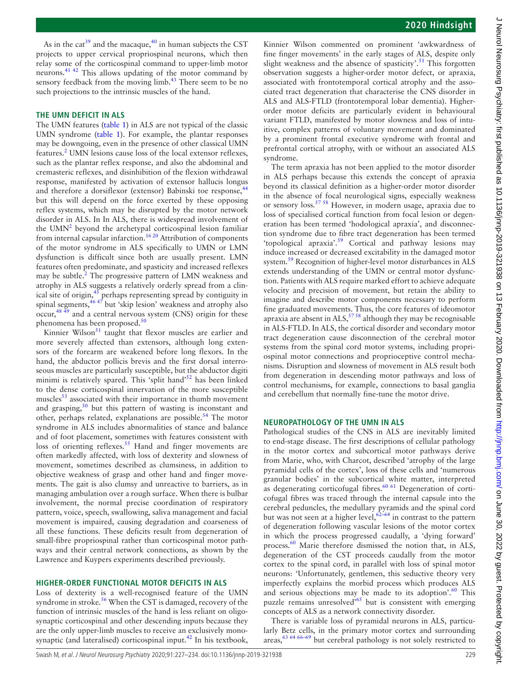As in the cat<sup>39</sup> and the macaque,<sup>40</sup> in human subjects the CST projects to upper cervical propriospinal neurons, which then relay some of the corticospinal command to upper-limb motor neurons[.41 42](#page-5-33) This allows updating of the motor command by sensory feedback from the moving limb.<sup>[43](#page-5-34)</sup> There seem to be no such projections to the intrinsic muscles of the hand.

# **The UMN deficit in ALS**

The UMN features ([table](#page-0-0) 1) in ALS are not typical of the classic UMN syndrome ([table](#page-0-0) 1). For example, the plantar responses may be downgoing, even in the presence of other classical UMN features.<sup>[2](#page-5-1)</sup> UMN lesions cause loss of the local extensor reflexes, such as the plantar reflex response, and also the abdominal and cremasteric reflexes, and disinhibition of the flexion withdrawal response, manifested by activation of extensor hallucis longus and therefore a dorsiflexor (extensor) Babinski toe response,<sup>4</sup> but this will depend on the force exerted by these opposing reflex systems, which may be disrupted by the motor network disorder in ALS. In In ALS, there is widespread involvement of the UMN<sup>[2](#page-5-1)</sup> beyond the archetypal corticospinal lesion familiar from internal capsular infarction.<sup>16 20</sup> Attribution of components of the motor syndrome in ALS specifically to UMN or LMN dysfunction is difficult since both are usually present. LMN features often predominate, and spasticity and increased reflexes may be subtle.<sup>2</sup> The progressive pattern of LMN weakness and atrophy in ALS suggests a relatively orderly spread from a clinical site of origin,<sup>45</sup> perhaps representing spread by contiguity in spinal segments,<sup>46 47</sup> but 'skip lesion' weakness and atrophy also occur[,48 49](#page-5-38) and a central nervous system (CNS) origin for these phenomena has been proposed.[50](#page-5-39)

Kinnier Wilson $51$  taught that flexor muscles are earlier and more severely affected than extensors, although long extensors of the forearm are weakened before long flexors. In the hand, the abductor pollicis brevis and the first dorsal interroseous muscles are particularly susceptible, but the abductor digiti minimi is relatively spared. This 'split hand'<sup>[52](#page-5-41)</sup> has been linked to the dense corticospinal innervation of the more susceptible muscles $53$  associated with their importance in thumb movement and grasping, $50$  but this pattern of wasting is inconstant and other, perhaps related, explanations are possible.<sup>[54](#page-6-0)</sup> The motor syndrome in ALS includes abnormalities of stance and balance and of foot placement, sometimes with features consistent with loss of orienting reflexes.<sup>55</sup> Hand and finger movements are often markedly affected, with loss of dexterity and slowness of movement, sometimes described as clumsiness, in addition to objective weakness of grasp and other hand and finger movements. The gait is also clumsy and unreactive to barriers, as in managing ambulation over a rough surface. When there is bulbar involvement, the normal precise coordination of respiratory pattern, voice, speech, swallowing, saliva management and facial movement is impaired, causing degradation and coarseness of all these functions. These deficits result from degeneration of small-fibre propriospinal rather than corticospinal motor pathways and their central network connections, as shown by the Lawrence and Kuypers experiments described previously.

## **Higher-order functional motor deficits in ALS**

Loss of dexterity is a well-recognised feature of the UMN syndrome in stroke.<sup>[56](#page-6-2)</sup> When the CST is damaged, recovery of the function of intrinsic muscles of the hand is less reliant on oligosynaptic corticospinal and other descending inputs because they are the only upper-limb muscles to receive an exclusively monosynaptic (and lateralised) corticospinal input.<sup>42</sup> In his textbook,

Kinnier Wilson commented on prominent 'awkwardness of fine finger movements' in the early stages of ALS, despite only slight weakness and the absence of spasticity'.<sup>51</sup> This forgotten observation suggests a higher-order motor defect, or apraxia, associated with frontotemporal cortical atrophy and the associated tract degeneration that characterise the CNS disorder in ALS and ALS-FTLD (frontotemporal lobar dementia). Higherorder motor deficits are particularly evident in behavioural variant FTLD, manifested by motor slowness and loss of intuitive, complex patterns of voluntary movement and dominated by a prominent frontal executive syndrome with frontal and prefrontal cortical atrophy, with or without an associated ALS syndrome.

The term apraxia has not been applied to the motor disorder in ALS perhaps because this extends the concept of apraxia beyond its classical definition as a higher-order motor disorder in the absence of focal neurological signs, especially weakness or sensory loss.<sup>[57 58](#page-6-3)</sup> However, in modern usage, apraxia due to loss of specialised cortical function from focal lesion or degeneration has been termed 'hodological apraxia', and disconnection syndrome due to fibre tract degeneration has been termed 'topological apraxia'.[59](#page-6-4) Cortical and pathway lesions may induce increased or decreased excitability in the damaged motor system.<sup>[59](#page-6-4)</sup> Recognition of higher-level motor disturbances in ALS extends understanding of the UMN or central motor dysfunction. Patients with ALS require marked effort to achieve adequate velocity and precision of movement, but retain the ability to imagine and describe motor components necessary to perform fine graduated movements. Thus, the core features of ideomotor apraxia are absent in  $ALS$ ,  $5758$  although they may be recognisable in ALS-FTLD. In ALS, the cortical disorder and secondary motor tract degeneration cause disconnection of the cerebral motor systems from the spinal cord motor systems, including propriospinal motor connections and proprioceptive control mechanisms. Disruption and slowness of movement in ALS result both from degeneration in descending motor pathways and loss of control mechanisms, for example, connections to basal ganglia and cerebellum that normally fine-tune the motor drive.

## **Neuropathology of the UMN in ALS**

Pathological studies of the CNS in ALS are inevitably limited to end-stage disease. The first descriptions of cellular pathology in the motor cortex and subcortical motor pathways derive from Marie, who, with Charcot, described 'atrophy of the large pyramidal cells of the cortex', loss of these cells and 'numerous granular bodies' in the subcortical white matter, interpreted as degenerating corticofugal fibres.<sup>60 61</sup> Degeneration of corticofugal fibres was traced through the internal capsule into the cerebral peduncles, the medullary pyramids and the spinal cord but was not seen at a higher level,  $62-64$  in contrast to the pattern of degeneration following vascular lesions of the motor cortex in which the process progressed caudally, a 'dying forward' process.<sup>[60](#page-6-5)</sup> Marie therefore dismissed the notion that, in ALS, degeneration of the CST proceeds caudally from the motor cortex to the spinal cord, in parallel with loss of spinal motor neurons: 'Unfortunately, gentlemen, this seductive theory very imperfectly explains the morbid process which produces ALS and serious objections may be made to its adoption'. $60$  This puzzle remains unresolved'[65](#page-6-7) but is consistent with emerging concepts of ALS as a network connectivity disorder.

There is variable loss of pyramidal neurons in ALS, particularly Betz cells, in the primary motor cortex and surrounding areas, $63,64,66-69$  but cerebral pathology is not solely restricted to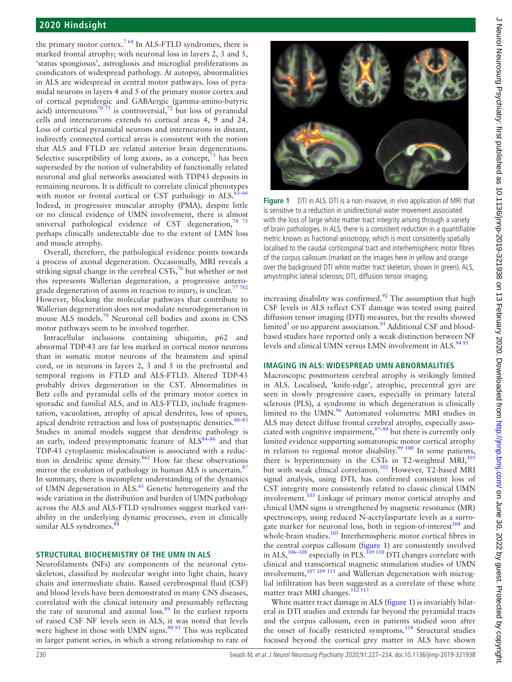the primary motor cortex.<sup>[7 64](#page-5-7)</sup> In ALS-FTLD syndromes, there is marked frontal atrophy; with neuronal loss in layers 2, 3 and 5, 'status spongiosus', astrogliosis and microglial proliferations as coindicators of widespread pathology. At autopsy, abnormalities in ALS are widespread in central motor pathways. loss of pyramidal neurons in layers 4 and 5 of the primary motor cortex and of cortical peptidergic and GABAergic (gamma-amino-butyric acid) interneurons<sup>70 71</sup> is controversial,<sup>72</sup> but loss of pyramidal cells and interneurons extends to cortical areas 4, 9 and 24. Loss of cortical pyramidal neurons and interneurons in distant, indirectly connected cortical areas is consistent with the notion that ALS and FTLD are related anterior brain degenerations. Selective susceptibility of long axons, as a concept,  $73$  has been superseded by the notion of vulnerability of functionally related neuronal and glial networks associated with TDP43 deposits in remaining neurons. It is difficult to correlate clinical phenotypes with motor or frontal cortical or CST pathology in  $ALS.\overline{63-66}$ Indeed, in progressive muscular atrophy (PMA), despite little or no clinical evidence of UMN involvement, there is almost universal pathological evidence of CST degeneration,  $7475$ perhaps clinically undetectable due to the extent of LMN loss and muscle atrophy.

Overall, therefore, the pathological evidence points towards a process of axonal degeneration. Occasionally, MRI reveals a striking signal change in the cerebral  $\text{CSTs}$ <sup>[76](#page-6-13)</sup> but whether or not this represents Wallerian degeneration, a progressive anterograde degeneration of axons in reaction to injury, is unclear.<sup>77782</sup> However, blocking the molecular pathways that contribute to Wallerian degeneration does not modulate neurodegeneration in mouse ALS models.[79](#page-6-15) Neuronal cell bodies and axons in CNS motor pathways seem to be involved together.

Intracellular inclusions containing ubiquitin, p62 and abnormal TDP-43 are far less marked in cortical motor neurons than in somatic motor neurons of the brainstem and spinal cord, or in neurons in layers 2, 3 and 5 in the prefrontal and temporal regions in FTLD and ALS-FTLD. Altered TDP-43 probably drives degeneration in the CST. Abnormalities in Betz cells and pyramidal cells of the primary motor cortex in sporadic and familial ALS, and in ALS-FTLD, include fragmentation, vacuolation, atrophy of apical dendrites, loss of spines, apical dendrite retraction and loss of postsynaptic densities.<sup>80-83</sup> Studies in animal models suggest that dendritic pathology is an early, indeed presymptomatic feature of  $\text{ALS}^{84-86}$  and that TDP-43 cytoplasmic mislocalisation is associated with a reduc-tion in dendritic spine density.<sup>[86](#page-6-18)2</sup> How far these observations mirror the evolution of pathology in human ALS is uncertain.<sup>[87](#page-6-19)</sup> In summary, there is incomplete understanding of the dynamics of UMN degeneration in ALS.<sup>65</sup> Genetic heterogeneity and the wide variation in the distribution and burden of UMN pathology across the ALS and ALS-FTLD syndromes suggest marked variability in the underlying dynamic processes, even in clinically similar ALS syndromes.<sup>8</sup>

## **Structural biochemistry of the UMN in ALS**

Neurofilaments (NFs) are components of the neuronal cytoskeleton, classified by molecular weight into light chain, heavy chain and intermediate chain. Raised cerebrospinal fluid (CSF) and blood levels have been demonstrated in many CNS diseases, correlated with the clinical intensity and presumably reflecting the rate of neuronal and axonal loss. $89$  In the earliest reports of raised CSF NF levels seen in ALS, it was noted that levels were highest in those with UMN signs. $9091$  This was replicated in larger patient series, in which a strong relationship to rate of



**Figure 1** DTI in ALS. DTI is a non-invasive, in vivo application of MRI that is sensitive to a reduction in unidirectional water movement associated with the loss of large white matter tract integrity arising through a variety of brain pathologies. In ALS, there is a consistent reduction in a quantifiable metric known as fractional anisotropy, which is most consistently spatially localised to the caudal corticospinal tract and interhemispheric motor fibres of the corpus callosum (marked on the images here in yellow and orange over the background DTI white matter tract skeleton, shown in green). ALS, amyotrophic lateral sclerosis; DTI, diffusion tensor imaging.

<span id="page-3-0"></span>increasing disability was confirmed. $92$  The assumption that high CSF levels in ALS reflect CST damage was tested using paired diffusion tensor imaging (DTI) measures, but the results showed limited<sup>[5](#page-5-4)</sup> or no apparent association.<sup>93</sup> Additional CSF and bloodbased studies have reported only a weak distinction between NF levels and clinical UMN versus LMN involvement in  $ALS$ .  $94\frac{94\frac{95}{95}}{25}$ 

#### **Imaging in ALS: widespread UMN abnormalities**

Macroscopic postmortem cerebral atrophy is strikingly limited in ALS. Localised, 'knife-edge', atrophic, precentral gyri are seen in slowly progressive cases, especially in primary lateral sclerosis (PLS), a syndrome in which degeneration is clinically limited to the UMN.<sup>96</sup> Automated volumetric MRI studies in ALS may detect diffuse frontal cerebral atrophy, especially associated with cognitive impairment, $97-99$  but there is currently only limited evidence supporting somatotopic motor cortical atrophy in relation to regional motor disability.<sup>99 100</sup> In some patients, there is hyperintensity in the CSTs in T2-weighted MRI, $^{101}$  $^{101}$  $^{101}$ but with weak clinical correlation.<sup>102</sup> However, T2-based MRI signal analysis, using DTI, has confirmed consistent loss of CST integrity more consistently related to classic clinical UMN involvement.<sup>103</sup> Linkage of primary motor cortical atrophy and clinical UMN signs is strengthened by magnetic resonance (MR) spectroscopy, using reduced N-acetylaspartate levels as a surrogate marker for neuronal loss, both in region-of-interest<sup>104</sup> and whole-brain studies.<sup>[105](#page-6-33)</sup> Interhemispheric motor cortical fibres in the central corpus callosum [\(figure](#page-3-0) 1) are consistently involved in ALS,  $^{106-108}$  especially in PLS. $^{109-110}$  DTI changes correlate with clinical and transcortical magnetic stimulation studies of UMN involvement,  $107 109 111$  and Wallerian degeneration with microglial infiltration has been suggested as a correlate of these white matter tract MRI changes.<sup>112</sup><sup>113</sup>

White matter tract damage in ALS ([figure](#page-3-0) 1) is invariably bilateral in DTI studies and extends far beyond the pyramidal tracts and the corpus callosum, even in patients studied soon after the onset of focally restricted symptoms.<sup>114</sup> Structural studies focused beyond the cortical grey matter in ALS have shown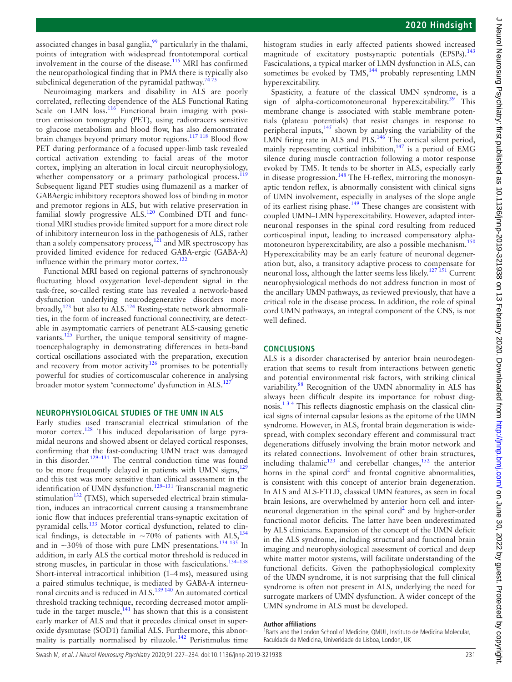associated changes in basal ganglia, $\frac{99}{2}$  particularly in the thalami, points of integration with widespread frontotemporal cortical involvement in the course of the disease.<sup>115</sup> MRI has confirmed the neuropathological finding that in PMA there is typically also subclinical degeneration of the pyramidal pathway.<sup>7</sup>

Neuroimaging markers and disability in ALS are poorly correlated, reflecting dependence of the ALS Functional Rating Scale on LMN loss. $116$  Functional brain imaging with positron emission tomography (PET), using radiotracers sensitive to glucose metabolism and blood flow, has also demonstrated brain changes beyond primary motor regions.<sup>[117 118](#page-6-41)</sup> Blood flow PET during performance of a focused upper-limb task revealed cortical activation extending to facial areas of the motor cortex, implying an alteration in local circuit neurophysiology, whether compensatory or a primary pathological process.<sup>1</sup> Subsequent ligand PET studies using flumazenil as a marker of GABAergic inhibitory receptors showed loss of binding in motor and premotor regions in ALS, but with relative preservation in familial slowly progressive ALS.<sup>[120](#page-7-1)</sup> Combined DTI and functional MRI studies provide limited support for a more direct role of inhibitory interneuron loss in the pathogenesis of ALS, rather than a solely compensatory process,  $121$  and MR spectroscopy has provided limited evidence for reduced GABA-ergic (GABA-A) influence within the primary motor cortex.<sup>[122](#page-7-3)</sup>

Functional MRI based on regional patterns of synchronously fluctuating blood oxygenation level-dependent signal in the task-free, so-called resting state has revealed a network-based dysfunction underlying neurodegenerative disorders more broadly,<sup>123</sup> but also to ALS.<sup>124</sup> Resting-state network abnormalities, in the form of increased functional connectivity, are detectable in asymptomatic carriers of penetrant ALS-causing genetic variants.<sup>125</sup> Further, the unique temporal sensitivity of magnetoencephalography in demonstrating differences in beta-band cortical oscillations associated with the preparation, execution and recovery from motor activity<sup>[126](#page-7-7)</sup> promises to be potentially powerful for studies of corticomuscular coherence in analysing broader motor system 'connectome' dysfunction in ALS.<sup>[127](#page-7-8)</sup>

### **Neurophysiological studies of the UMN in ALS**

Early studies used transcranial electrical stimulation of the motor cortex[.128](#page-7-9) This induced depolarisation of large pyramidal neurons and showed absent or delayed cortical responses, confirming that the fast-conducting UMN tract was damaged in this disorder.<sup>129-131</sup> The central conduction time was found to be more frequently delayed in patients with UMN signs, $129$ and this test was more sensitive than clinical assessment in the identification of UMN dysfunction.<sup>129-131</sup> Transcranial magnetic stimulation $^{132}$  (TMS), which superseded electrical brain stimulation, induces an intracortical current causing a transmembrane ionic flow that induces preferential trans-synaptic excitation of pyramidal cells.<sup>133</sup> Motor cortical dysfunction, related to clinical findings, is detectable in  $\sim$ 70% of patients with ALS,<sup>[134](#page-7-13)</sup> and in  $\sim$ 30% of those with pure LMN presentations.<sup>[134 135](#page-7-13)</sup> In addition, in early ALS the cortical motor threshold is reduced in strong muscles, in particular in those with fasciculations.<sup>[134–138](#page-7-13)</sup> Short-interval intracortical inhibition (1–4ms), measured using a paired stimulus technique, is mediated by GABA-A interneu-ronal circuits and is reduced in ALS.<sup>[139 140](#page-7-14)</sup> An automated cortical threshold tracking technique, recording decreased motor amplitude in the target muscle, $141$  has shown that this is a consistent early marker of ALS and that it precedes clinical onset in superoxide dysmutase (SOD1) familial ALS. Furthermore, this abnormality is partially normalised by riluzole.<sup>142</sup> Peristimulus time histogram studies in early affected patients showed increased magnitude of excitatory postsynaptic potentials (EPSPs).<sup>[143](#page-7-17)</sup> Fasciculations, a typical marker of LMN dysfunction in ALS, can sometimes be evoked by  $TMS$ ,<sup>144</sup> probably representing LMN hyperexcitability.

Spasticity, a feature of the classical UMN syndrome, is a sign of alpha-corticomotoneuronal hyperexcitability.<sup>[39](#page-5-31)</sup> This membrane change is associated with stable membrane potentials (plateau potentials) that resist changes in response to peripheral inputs,<sup>145</sup> shown by analysing the variability of the LMN firing rate in ALS and PLS.<sup>146</sup> The cortical silent period, mainly representing cortical inhibition, $147$  is a period of EMG silence during muscle contraction following a motor response evoked by TMS. It tends to be shorter in ALS, especially early in disease progression.<sup>148</sup> The H-reflex, mirroring the monosynaptic tendon reflex, is abnormally consistent with clinical signs of UMN involvement, especially in analyses of the slope angle of its earliest rising phase.[149](#page-7-23) These changes are consistent with coupled UMN–LMN hyperexcitability. However, adapted interneuronal responses in the spinal cord resulting from reduced corticospinal input, leading to increased compensatory alphamotoneuron hyperexcitability, are also a possible mechanism.[150](#page-7-24) Hyperexcitability may be an early feature of neuronal degeneration but, also, a transitory adaptive process to compensate for neuronal loss, although the latter seems less likely.<sup>[127 151](#page-7-8)</sup> Current neurophysiological methods do not address function in most of the ancillary UMN pathways, as reviewed previously, that have a critical role in the disease process. In addition, the role of spinal cord UMN pathways, an integral component of the CNS, is not well defined.

## **Conclusions**

ALS is a disorder characterised by anterior brain neurodegeneration that seems to result from interactions between genetic and potential environmental risk factors, with striking clinical variability.<sup>[88](#page-6-20)</sup> Recognition of the UMN abnormality in ALS has always been difficult despite its importance for robust diagnosis.[1 3 4](#page-5-0) This reflects diagnostic emphasis on the classical clinical signs of internal capsular lesions as the epitome of the UMN syndrome. However, in ALS, frontal brain degeneration is widespread, with complex secondary efferent and commissural tract degenerations diffusely involving the brain motor network and its related connections. Involvement of other brain structures, including thalamic<sup>123</sup> and cerebellar changes,<sup>152</sup> the anterior horns in the spinal cord<sup>2</sup> and frontal cognitive abnormalities, is consistent with this concept of anterior brain degeneration. In ALS and ALS-FTLD, classical UMN features, as seen in focal brain lesions, are overwhelmed by anterior horn cell and inter-neuronal degeneration in the spinal cord<sup>[2](#page-5-1)</sup> and by higher-order functional motor deficits. The latter have been underestimated by ALS clinicians. Expansion of the concept of the UMN deficit in the ALS syndrome, including structural and functional brain imaging and neurophysiological assessment of cortical and deep white matter motor systems, will facilitate understanding of the functional deficits. Given the pathophysiological complexity of the UMN syndrome, it is not surprising that the full clinical syndrome is often not present in ALS, underlying the need for surrogate markers of UMN dysfunction. A wider concept of the UMN syndrome in ALS must be developed.

#### **Author affiliations**

<sup>1</sup>Barts and the London School of Medicine, QMUL, Instituto de Medicina Molecular, Faculdade de Medicina, Univeridade de Lisboa, London, UK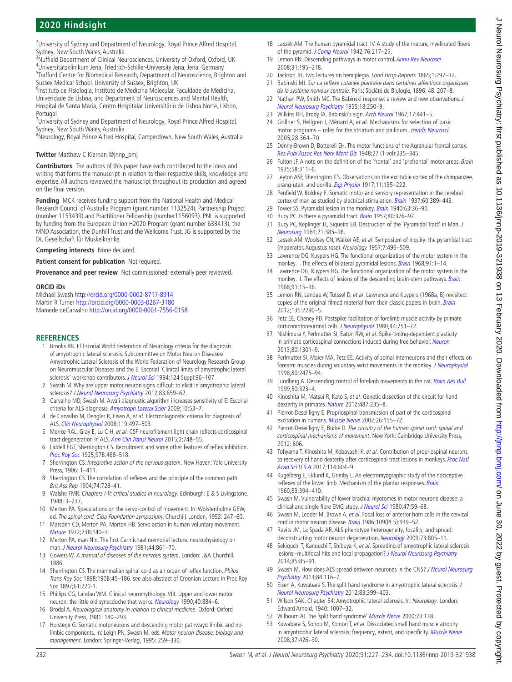# **2020 Hindsight**

<sup>2</sup>University of Sydney and Department of Neurology, Royal Prince Alfred Hospital, Sydney, New South Wales, Australia

<sup>3</sup>Nuffield Department of Clinical Neurosciences, University of Oxford, Oxford, UK <sup>4</sup>Universitätsklinikum Jena, Friedrich-Schiller-University Jena, Jena, Germany<br><sup>5</sup>Trafford Centre for Biomedical Besearch, Department of Neuroscience, Brig <sup>5</sup>Trafford Centre for Biomedical Research, Department of Neuroscience, Brighton and Sussex Medical School, University of Sussex, Brighton, UK

<sup>6</sup>Instituto de Fisiologia, Instituto de Medicina Molecular, Faculdade de Medicina, Univeridade de Lisboa, and Department of Neurosciences and Mental Health, Hospital de Santa Maria, Centro Hospitalar Universitário de Lisboa Norte, Lisbon, Portugal

<sup>7</sup>University of Sydney and Department of Neurology, Royal Prince Alfred Hospital, Sydney, New South Wales, Australia

<sup>8</sup>Neurology, Royal Prince Alfred Hospital, Camperdown, New South Wales, Australia

#### **Twitter** Matthew C Kiernan [@jnnp\\_bmj](https://twitter.com/jnnp_bmj)

**Contributors** The authors of this paper have each contributed to the ideas and writing that forms the manuscript in relation to their respective skills, knowledge and expertise. All authors reviewed the manuscript throughout its production and agreed on the final version.

**Funding** MCK receives funding support from the National Health and Medical Research Council of Australia Program (grant number 1132524), Partnership Project (number 1153439) and Practitioner Fellowship (number1156093). PNL is supported by funding from the European Union H2020 Program (grant number 633413), the MND Association, the Dunhill Trust and the Wellcome Trust. JG is supported by the Dt. Gesellschaft für Muskelkranke.

**Competing interests** None declared.

**Patient consent for publication** Not required.

**Provenance and peer review** Not commissioned; externally peer reviewed.

#### **ORCID iDs**

Michael Swash<http://orcid.org/0000-0002-8717-8914> Martin R Turner <http://orcid.org/0000-0003-0267-3180> Mamede deCarvalho<http://orcid.org/0000-0001-7556-0158>

#### **References**

- <span id="page-5-0"></span>1 Brooks BR. El Escorial World Federation of Neurology criteria for the diagnosis of amyotrophic lateral sclerosis. Subcommittee on Motor Neuron Diseases/ Amyotrophic Lateral Sclerosis of the World Federation of Neurology Research Group on Neuromuscular Diseases and the El Escorial 'Clinical limits of amyotrophic lateral sclerosis' workshop contributors. [J Neurol Sci](http://dx.doi.org/10.1016/0022-510x(94)90191-0) 1994;124 Suppl:96-107.
- <span id="page-5-1"></span>2 Swash M. Why are upper motor neuron signs difficult to elicit in amyotrophic lateral sclerosis? [J Neurol Neurosurg Psychiatry](http://dx.doi.org/10.1136/jnnp-2012-302315) 2012;83:659-62.
- <span id="page-5-2"></span>3 Carvalho MD, Swash M. Awaji diagnostic algorithm increases sensitivity of El Escorial criteria for ALS diagnosis. [Amyotroph Lateral Scler](http://dx.doi.org/10.1080/17482960802521126) 2009;10:53-7.
- <span id="page-5-3"></span>4 de Carvalho M, Dengler R, Eisen A, et al. Electrodiagnostic criteria for diagnosis of ALS. [Clin Neurophysiol](http://dx.doi.org/10.1016/j.clinph.2007.09.143) 2008;119:497–503.
- <span id="page-5-4"></span>5 Menke RAL, Gray E, Lu C-H, et al. CSF neurofilament light chain reflects corticospinal tract degeneration in ALS. [Ann Clin Transl Neurol](http://dx.doi.org/10.1002/acn3.212) 2015;2:748–55.
- <span id="page-5-5"></span>6 Liddell EGT, Sherrington CS. Recruitment and some other features of reflex inhibition. [Proc Roy Soc](http://dx.doi.org/10.1098/rspb.1925.0016) 1925;97B:488–518.
- <span id="page-5-7"></span>7 Sherrington CS. Integrative action of the nervous system. New Haven: Yale University Press, 1906: 1–411.
- <span id="page-5-6"></span>8 Sherrington CS. The correlation of reflexes and the principle of the common path. Brit Ass Rep 1904;74:728–41.
- <span id="page-5-8"></span>9 Walshe FMR. Chapters I-V: critical studies in neurology. Edinburgh: E & S Livingstone, 1948: 3–237.
- <span id="page-5-9"></span>10 Merton PA. Speculations on the servo-control of movement. In: Wolstenholme GEW, ed. The spinal cord, Ciba Foundation symposium. Churchill, London, 1953: 247–60.
- <span id="page-5-10"></span>11 Marsden CD, Merton PA, Morton HB. Servo action in human voluntary movement. [Nature](http://dx.doi.org/10.1038/238140a0) 1972;238:140–3.
- 12 Merton PA, man Nin. The first Carmichael memorial lecture. neurophysiology on man. [J Neurol Neurosurg Psychiatry](http://dx.doi.org/10.1136/jnnp.44.10.861) 1981;44:861-70.
- <span id="page-5-11"></span>13 Gowers W. A manual of diseases of the nervous system. London: J&A Churchill, 1886.
- <span id="page-5-12"></span>14 Sherrington CS. The mammalian spinal cord as an organ of reflex function. *Philos* Trans Roy Soc 1898;190B:45–186. see also abstract of Croonian Lecture in Proc Roy Soc 1897;61:220-1.
- <span id="page-5-14"></span>15 Phillips CG, Landau WM. Clinical neuromythology. VIII. Upper and lower motor neuron: the little old synecdoche that works. [Neurology](http://dx.doi.org/10.1212/WNL.40.6.884) 1990;40:884-6.
- <span id="page-5-13"></span>16 Brodal A. Neurological anatomy in relation to clinical medicine. Oxford: Oxford University Press, 1981: 180–293.
- 17 Holstege G. Somatic motoneurons and descending motor pathways: limbic and nolimbic components. In: Leigh PN, Swash M, eds. Motor neuron disease; biology and management. London: Springer-Verlag, 1995: 259–330.
- <span id="page-5-15"></span>18 Lassek AM. The human pyramidal tract. IV. A study of the mature, myelinated fibers of the pyramid. [J Comp Neurol](http://dx.doi.org/10.1002/cne.900760203) 1942;76:217-25.
- <span id="page-5-16"></span>19 Lemon RN. Descending pathways in motor control. [Annu Rev Neurosci](http://dx.doi.org/10.1146/annurev.neuro.31.060407.125547) 2008;31:195–218.
- <span id="page-5-17"></span>20 Jackson JH. Two lectures on hemiplegia. Lond Hosp Reports 1865;1:297-32.
- <span id="page-5-18"></span>21 Babinski MJ. Sur La reflexe cutanée plantaire dans certaines affections organiques de la systéme nerveux centrale. Paris: Société de Biologie, 1896: 48. 207–8.
- 22 Nathan PW, Smith MC. The Babinski response: a review and new observations. J [Neurol Neurosurg Psychiatry](http://dx.doi.org/10.1136/jnnp.18.4.250) 1955;18:250–9.
- 23 Wilkins RH, Brody IA. Babinski's sign. [Arch Neurol](http://dx.doi.org/10.1001/archneur.1967.00470280107013) 1967;17:441-5.
- <span id="page-5-19"></span>24 Grillner S, Hellgren J, Ménard A, et al. Mechanisms for selection of basic motor programs - roles for the striatum and pallidum. [Trends Neurosci](http://dx.doi.org/10.1016/j.tins.2005.05.004) 2005;28:364–70.
- <span id="page-5-20"></span>25 Denny-Brown D, Botterell EH. The motor functions of the Agranular frontal cortex. [Res Publ Assoc Res Nerv Ment Dis](http://www.ncbi.nlm.nih.gov/pubmed/18122905) 1948;27 (1 vol):235–345.
- <span id="page-5-21"></span>26 Fulton JF. A note on the definition of the 'frontal' and 'prefrontal' motor areas. Brain 1935;58:311–6.
- <span id="page-5-22"></span>27 Leyton ASF, Sherrington CS. Observations on the excitable cortex of the chimpanzee, orang-utan, and gorilla. [Exp Physiol](http://dx.doi.org/10.1113/expphysiol.1917.sp000240) 1917;11:135-222.
- <span id="page-5-23"></span>28 Penfield W, Boldrey E. Somatic motor and sensory representation in the cerebral cortex of man as studied by electrical stimulation. [Brain](http://dx.doi.org/10.1093/brain/60.4.389) 1937;60:389-443.
- <span id="page-5-24"></span>29 Tower SS. Pyramidal lesion in the monkey. [Brain](http://dx.doi.org/10.1093/brain/63.1.36) 1940;63:36-90.
- <span id="page-5-25"></span>30 Bucy PC. Is there a pyramidal tract. [Brain](http://dx.doi.org/10.1093/brain/80.3.376) 1957;80:376–92.
- 31 Bucy PC, Keplinger JE, Siqueira EB. Destruction of the 'Pyramidal Tract' in Man. [J](http://dx.doi.org/10.3171/jns.1964.21.5.0385)  [Neurosurg](http://dx.doi.org/10.3171/jns.1964.21.5.0385) 1964;21:385–98.
- <span id="page-5-26"></span>32 Lassek AM, Woolsey CN, Walker AE, et al. Symposium of inquiry: the pyramidal tract (moderator, Augustus rose). Neurology 1957;7:496–509.
- <span id="page-5-27"></span>33 Lawrence DG, Kuypers HG. The functional organization of the motor system in the monkey. I. The effects of bilateral pyramidal lesions. [Brain](http://dx.doi.org/10.1093/brain/91.1.1) 1968;91:1-14.
- 34 Lawrence DG, Kuypers HG. The functional organization of the motor system in the monkey. II. The effects of lesions of the descending brain-stem pathways. [Brain](http://dx.doi.org/10.1093/brain/91.1.15) 1968;91:15–36.
- 35 Lemon RN, Landau W, Tutssel D, et al. Lawrence and Kuypers (1968a, B) revisited: copies of the original filmed material from their classic papers in brain. [Brain](http://dx.doi.org/10.1093/brain/aws037) 2012;135:2290–5.
- <span id="page-5-28"></span>36 Fetz EE, Cheney PD. Postspike facilitation of forelimb muscle activity by primate corticomotoneuronal cells. [J Neurophysiol](http://dx.doi.org/10.1152/jn.1980.44.4.751) 1980;44:751–72.
- <span id="page-5-29"></span>37 Nishimura Y, Perlmutter SI, Eaton RW, et al. Spike-timing-dependent plasticity in primate corticospinal connections induced during free behavior. [Neuron](http://dx.doi.org/10.1016/j.neuron.2013.08.028) 2013;80:1301–9.
- <span id="page-5-30"></span>38 Perlmutter SI, Maier MA, Fetz EE. Activity of spinal interneurons and their effects on forearm muscles during voluntary wrist movements in the monkey. [J Neurophysiol](http://dx.doi.org/10.1152/jn.1998.80.5.2475) 1998;80:2475–94.
- <span id="page-5-31"></span>39 Lundberg A. Descending control of forelimb movements in the cat. [Brain Res Bull](http://dx.doi.org/10.1016/S0361-9230(99)00151-3) 1999;50:323–4.
- <span id="page-5-32"></span>40 Kinoshita M, Matsui R, Kato S, et al. Genetic dissection of the circuit for hand dexterity in primates. [Nature](http://dx.doi.org/10.1038/nature11206) 2012;487:235-8.
- <span id="page-5-33"></span>41 Pierrot-Deseilligny E. Propriospinal transmission of part of the corticospinal excitation in humans. [Muscle Nerve](http://dx.doi.org/10.1002/mus.1240) 2002;26:155-72.
- <span id="page-5-43"></span>42 Pierrot-Deseilligny E, Burke D. The circuitry of the human spinal cord: spinal and corticospinal mechanisms of movement. New York: Cambridge University Press, 2012: 606.
- <span id="page-5-34"></span>43 Tohyama T, Kinoshita M, Kobayashi K, et al. Contribution of propriospinal neurons to recovery of hand dexterity after corticospinal tract lesions in monkeys. Proc Natl [Acad Sci U S A](http://dx.doi.org/10.1073/pnas.1610787114) 2017;114:604–9.
- <span id="page-5-35"></span>44 Kugelberg E, Eklund K, Grimby L. An electromyographic study of the nociceptive reflexes of the lower limb. Mechanism of the plantar responses. [Brain](http://dx.doi.org/10.1093/brain/83.3.394) 1960;83:394–410.
- <span id="page-5-36"></span>45 Swash M. Vulnerability of lower brachial myotomes in motor neurone disease: a clinical and single fibre EMG study. [J Neurol Sci](http://dx.doi.org/10.1016/0022-510x(80)90025-8) 1980;47:59-68.
- <span id="page-5-37"></span>46 Swash M, Leader M, Brown A, et al. Focal loss of anterior horn cells in the cervical cord in motor neuron disease. [Brain](http://dx.doi.org/10.1093/brain/109.5.939) 1986;109(Pt 5):939-52.
- 47 Ravits JM, La Spada AR. ALS phenotype heterogeneity, focality, and spread: deconstructing motor neuron degeneration. [Neurology](http://dx.doi.org/10.1212/WNL.0b013e3181b6bbbd) 2009;73:805-11.
- <span id="page-5-38"></span>48 Sekiguchi T, Kanouchi T, Shibuya K, et al. Spreading of amyotrophic lateral sclerosis lesions--multifocal hits and local propagation? [J Neurol Neurosurg Psychiatry](http://dx.doi.org/10.1136/jnnp-2013-305617) 2014;85:85–91.
- 49 Swash M. How does ALS spread between neurones in the CNS? J Neurol Neurosurg [Psychiatry](http://dx.doi.org/10.1136/jnnp-2012-303992) 2013;84:116–7.
- <span id="page-5-39"></span>50 Eisen A, Kuwabara S. The split hand syndrome in amyotrophic lateral sclerosis. [J](http://dx.doi.org/10.1136/jnnp-2011-301456)  [Neurol Neurosurg Psychiatry](http://dx.doi.org/10.1136/jnnp-2011-301456) 2012;83:399–403.
- <span id="page-5-40"></span>51 Wilson SAK. Chapter 54: Amyotrophic lateral sclerosis. In: Neurology. London: Edward Arnold, 1940: 1007–32.
- <span id="page-5-41"></span>52 Wilbourn AJ. The 'split hand syndrome' [Muscle Nerve](http://dx.doi.org/10.1002/(SICI)1097-4598(200001)23:1<138::AID-MUS22>3.0.CO;2-7) 2000;23:138.
- <span id="page-5-42"></span>53 Kuwabara S, Sonoo M, Komori T, et al. Dissociated small hand muscle atrophy in amyotrophic lateral sclerosis: frequency, extent, and specificity. [Muscle Nerve](http://dx.doi.org/10.1002/mus.20949) 2008;37:426–30.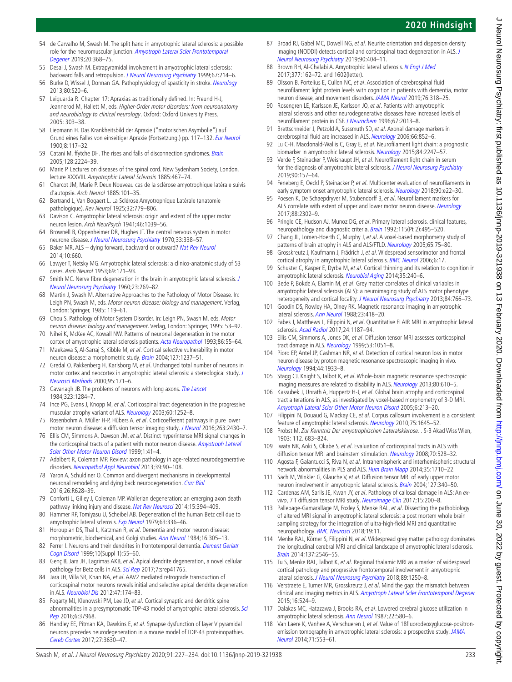- <span id="page-6-0"></span>54 de Carvalho M, Swash M. The split hand in amyotrophic lateral sclerosis: a possible role for the neuromuscular junction. Amyotroph Lateral Scler Frontotemporal [Degener](http://dx.doi.org/10.1080/21678421.2019.1606245) 2019;20:368–75.
- <span id="page-6-1"></span>55 Desai J, Swash M. Extrapyramidal involvement in amyotrophic lateral sclerosis: backward falls and retropulsion. [J Neurol Neurosurg Psychiatry](http://dx.doi.org/10.1136/jnnp.67.2.214) 1999;67:214-6.
- <span id="page-6-2"></span>56 Burke D, Wissel J, Donnan GA. Pathophysiology of spasticity in stroke. [Neurology](http://dx.doi.org/10.1212/WNL.0b013e31827624a7) 2013;80:S20–6.
- <span id="page-6-3"></span>57 Leiguarda R. Chapter 17: Apraxias as traditionally defined. In: Freund H-J, Jeannerod M, Hallett M, eds. Higher-Order motor disorders: from neuroanatomy and neurobiology to clinical neurology. Oxford: Oxford University Press, 2005: 303–38.
- 58 Liepmann H. Das Krankheitsbild der Apraxie ("motorischen Asymbolie") auf Grund eines Falles von einseitiger Apraxie (Fortsetzung.) pp. 117–132. [Eur Neurol](http://dx.doi.org/10.1159/000221497) 1900;8:117–32.
- <span id="page-6-4"></span>59 Catani M, ffytche DH. The rises and falls of disconnection syndromes. [Brain](http://dx.doi.org/10.1093/brain/awh622) 2005;128:2224–39.
- <span id="page-6-5"></span>60 Marie P. Lectures on diseases of the spinal cord. New Sydenham Society, London, lecture XXXVIII. Amyotrophic Lateral Sclerosis 1885:467–74.
- 61 Charcot JM, Marie P. Deux Nouveau cas de la sclérose amyotrophique latérale suivis d'autopsie. Arch Neurol 1885:101–35.
- <span id="page-6-6"></span>62 Bertrand L, Van Bogaert L. La Sclérose Amyotrophique Latérale (anatomie pathologique). Rev Neurol 1925;32:779–806.
- <span id="page-6-8"></span>63 Davison C. Amyotrophic lateral sclerosis: origin and extent of the upper motor neuron lesion. Arch NeurPsych 1941;46:1039–56.
- 64 Brownell B, Oppenheimer DR, Hughes JT. The central nervous system in motor neurone disease. [J Neurol Neurosurg Psychiatry](http://dx.doi.org/10.1136/jnnp.33.3.338) 1970;33:338-57.
- <span id="page-6-7"></span>65 Baker MR. ALS - dying forward, backward or outward? [Nat Rev Neurol](http://dx.doi.org/10.1038/nrneurol.2013.221-c1) 2014;10:660.
- 66 Lawyer T, Netsky MG. Amyotrophic lateral sclerosis: a clinico-anatomic study of 53 cases. Arch Neurol 1953;69:171–93.
- 67 Smith MC. Nerve fibre degeneration in the brain in amyotrophic lateral sclerosis. J [Neurol Neurosurg Psychiatry](http://dx.doi.org/10.1136/jnnp.23.4.269) 1960;23:269–82.
- 68 Martin J, Swash M. Alternative Approaches to the Pathology of Motor Disease. In: Leigh PN, Swash M, eds. Motor neuron disease: biology and management. Verlag, London: Springer, 1985: 119–61.
- 69 Chou S. Pathology of Motor System Disorder. In: Leigh PN, Swash M, eds. Motor neuron disease: biology and management. Verlag, London: Springer, 1995: 53–92.
- <span id="page-6-9"></span>70 Nihei K, McKee AC, Kowall NW. Patterns of neuronal degeneration in the motor cortex of amyotrophic lateral sclerosis patients. [Acta Neuropathol](http://dx.doi.org/10.1007/BF00454899) 1993;86:55–64.
- 71 Maekawa S, Al-Sarraj S, Kibble M, et al. Cortical selective vulnerability in motor neuron disease: a morphometric study. [Brain](http://dx.doi.org/10.1093/brain/awh132) 2004;127:1237-51.
- <span id="page-6-10"></span>72 Gredal O, Pakkenberg H, Karlsborg M, et al. Unchanged total number of neurons in motor cortex and neocortex in amyotrophic lateral sclerosis: a stereological study. [J](http://dx.doi.org/10.1016/S0165-0270(99)00175-2)  [Neurosci Methods](http://dx.doi.org/10.1016/S0165-0270(99)00175-2) 2000;95:171–6.
- <span id="page-6-11"></span>73 Cavanagh JB. The problems of neurons with long axons. [The Lancet](http://dx.doi.org/10.1016/S0140-6736(84)92457-7) 1984;323:1284–7.
- <span id="page-6-12"></span>74 Ince PG, Evans J, Knopp M, et al. Corticospinal tract degeneration in the progressive muscular atrophy variant of ALS. [Neurology](http://dx.doi.org/10.1212/01.WNL.0000058901.75728.4E) 2003;60:1252-8.
- 75 Rosenbohm A, Müller H-P, Hübers A, et al. Corticoefferent pathways in pure lower motor neuron disease: a diffusion tensor imaging study. [J Neurol](http://dx.doi.org/10.1007/s00415-016-8281-2) 2016;263:2430-7.
- <span id="page-6-13"></span>76 Ellis CM, Simmons A, Dawson JM, et al. Distinct hyperintense MRI signal changes in the corticospinal tracts of a patient with motor neuron disease. Amyotroph Lateral [Scler Other Motor Neuron Disord](http://www.ncbi.nlm.nih.gov/pubmed/12365068) 1999;1:41–4.
- <span id="page-6-14"></span>77 Adalbert R, Coleman MP. Review: axon pathology in age-related neurodegenerative disorders. [Neuropathol Appl Neurobiol](http://dx.doi.org/10.1111/j.1365-2990.2012.01308.x) 2013;39:90–108.
- 78 Yaron A, Schuldiner O. Common and divergent mechanisms in developmental neuronal remodeling and dying back neurodegeneration. [Curr Biol](http://dx.doi.org/10.1016/j.cub.2016.05.025) 2016;26:R628–39.
- <span id="page-6-15"></span>79 Conforti L, Gilley J, Coleman MP. Wallerian degeneration: an emerging axon death pathway linking injury and disease. [Nat Rev Neurosci](http://dx.doi.org/10.1038/nrn3680) 2014;15:394-409.
- <span id="page-6-16"></span>80 Hammer RP, Tomiyasu U, Scheibel AB. Degeneration of the human Betz cell due to amyotrophic lateral sclerosis. [Exp Neurol](http://dx.doi.org/10.1016/0014-4886(79)90129-8) 1979;63:336-46.
- 81 Horoupian DS, Thal L, Katzman R, et al. Dementia and motor neuron disease: morphometric, biochemical, and Golgi studies. [Ann Neurol](http://dx.doi.org/10.1002/ana.410160306) 1984;16:305-13.
- 82 Ferrer I. Neurons and their dendrites in frontotemporal dementia. Dement Geriatr [Cogn Disord](http://dx.doi.org/10.1159/000051214) 1999;10(Suppl 1):55–60.
- 83 Genç B, Jara JH, Lagrimas AKB, et al. Apical dendrite degeneration, a novel cellular pathology for Betz cells in ALS. [Sci Rep](http://dx.doi.org/10.1038/srep41765) 2017;7:srep41765.
- <span id="page-6-17"></span>84 Jara JH, Villa SR, Khan NA, et al. AAV2 mediated retrograde transduction of corticospinal motor neurons reveals initial and selective apical dendrite degeneration in ALS. [Neurobiol Dis](http://dx.doi.org/10.1016/j.nbd.2012.03.036) 2012;47:174–83.
- 85 Fogarty MJ, Klenowski PM, Lee JD, et al. Cortical synaptic and dendritic spine abnormalities in a presymptomatic TDP-43 model of amyotrophic lateral sclerosis. Sci [Rep](http://dx.doi.org/10.1038/srep37968) 2016;6:37968.
- <span id="page-6-18"></span>86 Handley EE, Pitman KA, Dawkins E, et al. Synapse dysfunction of layer V pyramidal neurons precedes neurodegeneration in a mouse model of TDP-43 proteinopathies. [Cereb Cortex](http://dx.doi.org/10.1093/cercor/bhw185) 2017;27:3630–47.
- <span id="page-6-19"></span>87 Broad RJ, Gabel MC, Dowell NG, et al. Neurite orientation and dispersion density imaging (NODDI) detects cortical and corticospinal tract degeneration in ALS. J [Neurol Neurosurg Psychiatry](http://dx.doi.org/10.1136/jnnp-2018-318830) 2019;90:404–11.
- <span id="page-6-20"></span>88 Brown RH, Al-Chalabi A. Amyotrophic lateral sclerosis. [N Engl J Med](http://dx.doi.org/10.1056/NEJMra1603471) 2017;377:162–72. and 1602(letter).
- <span id="page-6-21"></span>89 Olsson B, Portelius E, Cullen NC, et al. Association of cerebrospinal fluid neurofilament light protein levels with cognition in patients with dementia, motor neuron disease, and movement disorders. [JAMA Neurol](http://dx.doi.org/10.1001/jamaneurol.2018.3746) 2019;76:318–25.
- <span id="page-6-22"></span>90 Rosengren LE, Karlsson JE, Karlsson JO, et al. Patients with amyotrophic lateral sclerosis and other neurodegenerative diseases have increased levels of neurofilament protein in CSF. [J Neurochem](http://dx.doi.org/10.1046/j.1471-4159.1996.67052013.x) 1996;67:2013–8.
- 91 Brettschneider J, Petzold A, Sussmuth SD, et al. Axonal damage markers in cerebrospinal fluid are increased in ALS. [Neurology](http://dx.doi.org/10.1212/01.wnl.0000203120.85850.54) 2006;66:852-6.
- <span id="page-6-23"></span>92 Lu C-H, Macdonald-Wallis C, Gray E, et al. Neurofilament light chain: a prognostic biomarker in amyotrophic lateral sclerosis. [Neurology](http://dx.doi.org/10.1212/WNL.0000000000001642) 2015;84:2247-57.
- <span id="page-6-24"></span>93 Verde F, Steinacker P, Weishaupt JH, et al. Neurofilament light chain in serum for the diagnosis of amyotrophic lateral sclerosis. [J Neurol Neurosurg Psychiatry](http://dx.doi.org/10.1136/jnnp-2018-318704) 2019;90:157–64.
- <span id="page-6-25"></span>94 Feneberg E, Oeckl P, Steinacker P, et al. Multicenter evaluation of neurofilaments in early symptom onset amyotrophic lateral sclerosis. [Neurology](http://dx.doi.org/10.1212/WNL.0000000000004761) 2018;90:e22-30.
- 95 Poesen K, De Schaepdryver M, Stubendorff B, et al. Neurofilament markers for ALS correlate with extent of upper and lower motor neuron disease. [Neurology](http://dx.doi.org/10.1212/WNL.0000000000004029) 2017;88:2302–9.
- <span id="page-6-26"></span>96 Pringle CE, Hudson AJ, Munoz DG, et al. Primary lateral sclerosis. clinical features, neuropathology and diagnostic criteria. [Brain](http://dx.doi.org/10.1093/brain/115.2.495) 1992;115(Pt 2):495-520.
- <span id="page-6-27"></span>97 Chang JL, Lomen-Hoerth C, Murphy J, et al. A voxel-based morphometry study of patterns of brain atrophy in ALS and ALS/FTLD. [Neurology](http://dx.doi.org/10.1212/01.wnl.0000167602.38643.29) 2005;65:75-80.
- 98 Grosskreutz J, Kaufmann J, Frädrich J, et al. Widespread sensorimotor and frontal cortical atrophy in amyotrophic lateral sclerosis. [BMC Neurol](http://dx.doi.org/10.1186/1471-2377-6-17) 2006;6:17.
- <span id="page-6-28"></span>99 Schuster C, Kasper E, Dyrba M, et al. Cortical thinning and its relation to cognition in amyotrophic lateral sclerosis. [Neurobiol Aging](http://dx.doi.org/10.1016/j.neurobiolaging.2013.07.020) 2014;35:240-6.
- 100 Bede P, Bokde A, Elamin M, et al. Grey matter correlates of clinical variables in amyotrophic lateral sclerosis (ALS): a neuroimaging study of ALS motor phenotype heterogeneity and cortical focality. [J Neurol Neurosurg Psychiatry](http://dx.doi.org/10.1136/jnnp-2012-302674) 2013;84:766-73.
- <span id="page-6-29"></span>101 Goodin DS, Rowley HA, Olney RK. Magnetic resonance imaging in amyotrophic lateral sclerosis. [Ann Neurol](http://dx.doi.org/10.1002/ana.410230424) 1988;23:418-20.
- <span id="page-6-30"></span>102 Fabes J, Matthews L, Filippini N, et al. Quantitative FLAIR MRI in amyotrophic lateral sclerosis. [Acad Radiol](http://dx.doi.org/10.1016/j.acra.2017.04.008) 2017;24:1187-94.
- <span id="page-6-31"></span>103 Ellis CM, Simmons A, Jones DK, et al. Diffusion tensor MRI assesses corticospinal tract damage in ALS. [Neurology](http://dx.doi.org/10.1212/WNL.53.5.1051) 1999;53:1051-8.
- <span id="page-6-32"></span>104 Pioro EP, Antel JP, Cashman NR, et al. Detection of cortical neuron loss in motor neuron disease by proton magnetic resonance spectroscopic imaging in vivo. [Neurology](http://dx.doi.org/10.1212/WNL.44.10.1933) 1994;44:1933–8.
- <span id="page-6-33"></span>105 Stagg CJ, Knight S, Talbot K, et al. Whole-brain magnetic resonance spectroscopic imaging measures are related to disability in ALS. [Neurology](http://dx.doi.org/10.1212/WNL.0b013e318281ccec) 2013;80:610-5.
- <span id="page-6-34"></span>106 Kassubek J, Unrath A, Huppertz H-J, et al. Global brain atrophy and corticospinal tract alterations in ALS, as investigated by voxel-based morphometry of 3-D MRI. [Amyotroph Lateral Scler Other Motor Neuron Disord](http://dx.doi.org/10.1080/14660820510038538) 2005;6:213–20.
- <span id="page-6-36"></span>107 Filippini N, Douaud G, Mackay CE, et al. Corpus callosum involvement is a consistent feature of amyotrophic lateral sclerosis. [Neurology](http://dx.doi.org/10.1212/WNL.0b013e3181fb84d1) 2010;75:1645-52.
- 108 Probst M. Zur Kenntnis Der amyotrophischen Lateralsklerose. . S-B Akad Wiss Wien, 1903: 112. 683–824.
- <span id="page-6-35"></span>109 Iwata NK, Aoki S, Okabe S, et al. Evaluation of corticospinal tracts in ALS with diffusion tensor MRI and brainstem stimulation. [Neurology](http://dx.doi.org/10.1212/01.wnl.0000299186.72374.19) 2008;70:528-32.
- 110 Agosta F, Galantucci S, Riva N, et al. Intrahemispheric and interhemispheric structural network abnormalities in PLS and ALS. [Hum Brain Mapp](http://dx.doi.org/10.1002/hbm.22286) 2014:35:1710–22.
- 111 Sach M, Winkler G, Glauche V, et al. Diffusion tensor MRI of early upper motor neuron involvement in amyotrophic lateral sclerosis. [Brain](http://dx.doi.org/10.1093/brain/awh041) 2004;127:340-50.
- <span id="page-6-37"></span>112 Cardenas AM, Sarlls JE, Kwan JY, et al. Pathology of callosal damage in ALS: An ex-vivo, 7 T diffusion tensor MRI study. [Neuroimage Clin](http://dx.doi.org/10.1016/j.nicl.2017.04.024) 2017;15:200-8.
- 113 Pallebage-Gamarallage M, Foxley S, Menke RAL, et al. Dissecting the pathobiology of altered MRI signal in amyotrophic lateral sclerosis: a post mortem whole brain sampling strategy for the integration of ultra-high-field MRI and quantitative neuropathology. [BMC Neurosci](http://dx.doi.org/10.1186/s12868-018-0416-1) 2018;19:11.
- <span id="page-6-38"></span>114 Menke RAL, Körner S, Filippini N, et al. Widespread grey matter pathology dominates the longitudinal cerebral MRI and clinical landscape of amyotrophic lateral sclerosis. [Brain](http://dx.doi.org/10.1093/brain/awu162) 2014;137:2546–55.
- <span id="page-6-39"></span>115 Tu S, Menke RAL, Talbot K, et al. Regional thalamic MRI as a marker of widespread cortical pathology and progressive frontotemporal involvement in amyotrophic lateral sclerosis. [J Neurol Neurosurg Psychiatry](http://dx.doi.org/10.1136/jnnp-2018-318625) 2018;89:1250-8.
- <span id="page-6-40"></span>116 Verstraete E, Turner MR, Grosskreutz J, et al. Mind the gap: the mismatch between clinical and imaging metrics in ALS. [Amyotroph Lateral Scler Frontotemporal Degener](http://dx.doi.org/10.3109/21678421.2015.1051989) 2015;16:524–9.
- <span id="page-6-41"></span>117 Dalakas MC, Hatazawa J, Brooks RA, et al. Lowered cerebral glucose utilization in amyotrophic lateral sclerosis. [Ann Neurol](http://dx.doi.org/10.1002/ana.410220504) 1987;22:580-6.
- 118 Van Laere K, Vanhee A, Verschueren J, et al. Value of 18fluorodeoxyglucose-positronemission tomography in amyotrophic lateral sclerosis: a prospective study. JAMA [Neurol](http://dx.doi.org/10.1001/jamaneurol.2014.62) 2014;71:553–61.

J Neurol Neurosurg Psychiatry: first published as 10.1136/jnnp-2019-321938 on 13 February 2020. Downloaded from http://jnnp.bmj.com/ on June 30, 2022 by guest. Protected by copyright J Neurol Neurosurg Psychiatry: first published as 10.1136/jnp-2019-321938 on 13 February 2020. Downloaded from on Johnp.bmj.com/ on June 30, 2022 by guest. Protected by copyright.